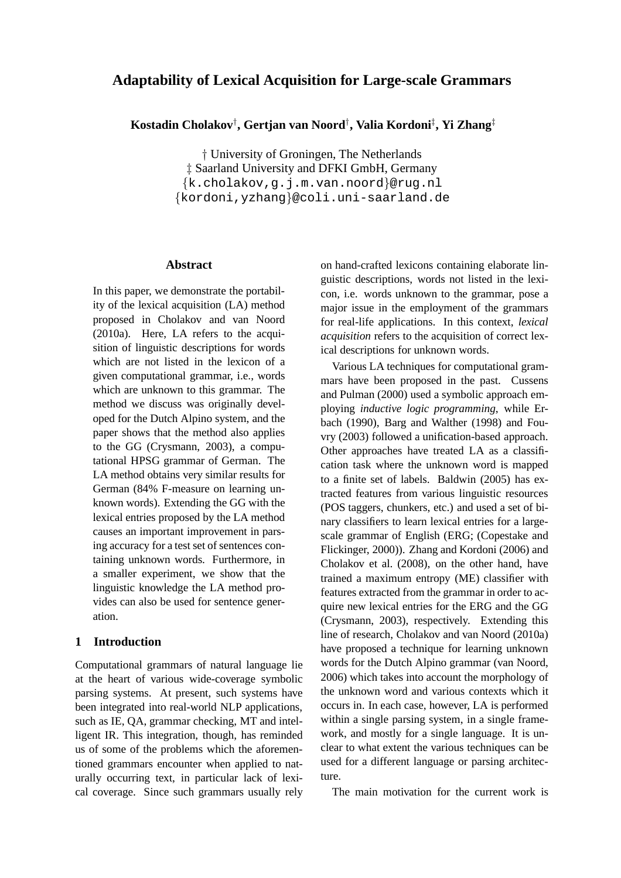# **Adaptability of Lexical Acquisition for Large-scale Grammars**

**Kostadin Cholakov**† **, Gertjan van Noord**† **, Valia Kordoni**‡ **, Yi Zhang**‡

† University of Groningen, The Netherlands ‡ Saarland University and DFKI GmbH, Germany {k.cholakov,g.j.m.van.noord}@rug.nl {kordoni,yzhang}@coli.uni-saarland.de

## **Abstract**

In this paper, we demonstrate the portability of the lexical acquisition (LA) method proposed in Cholakov and van Noord (2010a). Here, LA refers to the acquisition of linguistic descriptions for words which are not listed in the lexicon of a given computational grammar, i.e., words which are unknown to this grammar. The method we discuss was originally developed for the Dutch Alpino system, and the paper shows that the method also applies to the GG (Crysmann, 2003), a computational HPSG grammar of German. The LA method obtains very similar results for German (84% F-measure on learning unknown words). Extending the GG with the lexical entries proposed by the LA method causes an important improvement in parsing accuracy for a test set of sentences containing unknown words. Furthermore, in a smaller experiment, we show that the linguistic knowledge the LA method provides can also be used for sentence generation.

## **1 Introduction**

Computational grammars of natural language lie at the heart of various wide-coverage symbolic parsing systems. At present, such systems have been integrated into real-world NLP applications, such as IE, QA, grammar checking, MT and intelligent IR. This integration, though, has reminded us of some of the problems which the aforementioned grammars encounter when applied to naturally occurring text, in particular lack of lexical coverage. Since such grammars usually rely

on hand-crafted lexicons containing elaborate linguistic descriptions, words not listed in the lexicon, i.e. words unknown to the grammar, pose a major issue in the employment of the grammars for real-life applications. In this context, *lexical acquisition* refers to the acquisition of correct lexical descriptions for unknown words.

Various LA techniques for computational grammars have been proposed in the past. Cussens and Pulman (2000) used a symbolic approach employing *inductive logic programming*, while Erbach (1990), Barg and Walther (1998) and Fouvry (2003) followed a unification-based approach. Other approaches have treated LA as a classification task where the unknown word is mapped to a finite set of labels. Baldwin (2005) has extracted features from various linguistic resources (POS taggers, chunkers, etc.) and used a set of binary classifiers to learn lexical entries for a largescale grammar of English (ERG; (Copestake and Flickinger, 2000)). Zhang and Kordoni (2006) and Cholakov et al. (2008), on the other hand, have trained a maximum entropy (ME) classifier with features extracted from the grammar in order to acquire new lexical entries for the ERG and the GG (Crysmann, 2003), respectively. Extending this line of research, Cholakov and van Noord (2010a) have proposed a technique for learning unknown words for the Dutch Alpino grammar (van Noord, 2006) which takes into account the morphology of the unknown word and various contexts which it occurs in. In each case, however, LA is performed within a single parsing system, in a single framework, and mostly for a single language. It is unclear to what extent the various techniques can be used for a different language or parsing architecture.

The main motivation for the current work is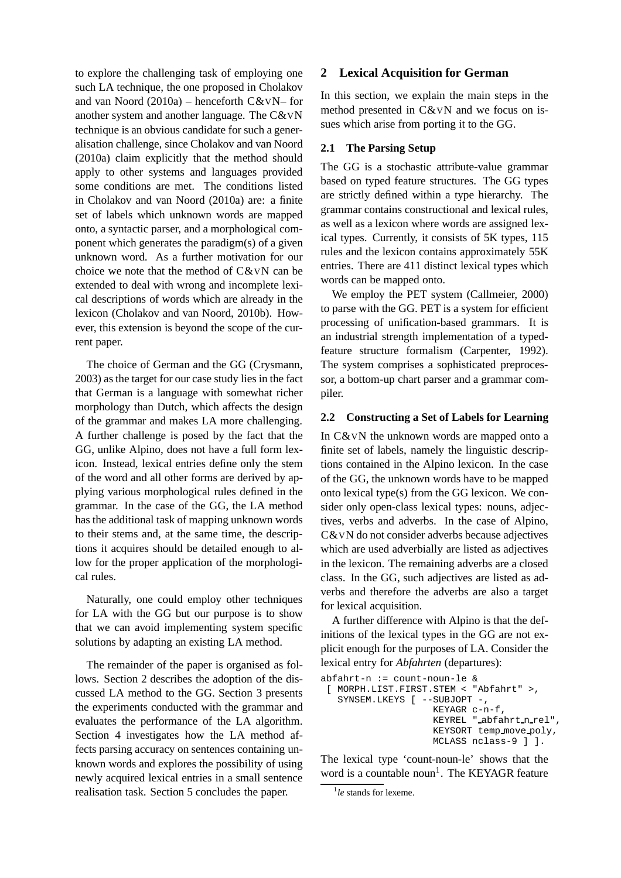to explore the challenging task of employing one such LA technique, the one proposed in Cholakov and van Noord (2010a) – henceforth C&VN– for another system and another language. The C&VN technique is an obvious candidate for such a generalisation challenge, since Cholakov and van Noord (2010a) claim explicitly that the method should apply to other systems and languages provided some conditions are met. The conditions listed in Cholakov and van Noord (2010a) are: a finite set of labels which unknown words are mapped onto, a syntactic parser, and a morphological component which generates the paradigm(s) of a given unknown word. As a further motivation for our choice we note that the method of C&VN can be extended to deal with wrong and incomplete lexical descriptions of words which are already in the lexicon (Cholakov and van Noord, 2010b). However, this extension is beyond the scope of the current paper.

The choice of German and the GG (Crysmann, 2003) as the target for our case study lies in the fact that German is a language with somewhat richer morphology than Dutch, which affects the design of the grammar and makes LA more challenging. A further challenge is posed by the fact that the GG, unlike Alpino, does not have a full form lexicon. Instead, lexical entries define only the stem of the word and all other forms are derived by applying various morphological rules defined in the grammar. In the case of the GG, the LA method has the additional task of mapping unknown words to their stems and, at the same time, the descriptions it acquires should be detailed enough to allow for the proper application of the morphological rules.

Naturally, one could employ other techniques for LA with the GG but our purpose is to show that we can avoid implementing system specific solutions by adapting an existing LA method.

The remainder of the paper is organised as follows. Section 2 describes the adoption of the discussed LA method to the GG. Section 3 presents the experiments conducted with the grammar and evaluates the performance of the LA algorithm. Section 4 investigates how the LA method affects parsing accuracy on sentences containing unknown words and explores the possibility of using newly acquired lexical entries in a small sentence realisation task. Section 5 concludes the paper.

## **2 Lexical Acquisition for German**

In this section, we explain the main steps in the method presented in C&VN and we focus on issues which arise from porting it to the GG.

## **2.1 The Parsing Setup**

The GG is a stochastic attribute-value grammar based on typed feature structures. The GG types are strictly defined within a type hierarchy. The grammar contains constructional and lexical rules, as well as a lexicon where words are assigned lexical types. Currently, it consists of 5K types, 115 rules and the lexicon contains approximately 55K entries. There are 411 distinct lexical types which words can be mapped onto.

We employ the PET system (Callmeier, 2000) to parse with the GG. PET is a system for efficient processing of unification-based grammars. It is an industrial strength implementation of a typedfeature structure formalism (Carpenter, 1992). The system comprises a sophisticated preprocessor, a bottom-up chart parser and a grammar compiler.

## **2.2 Constructing a Set of Labels for Learning**

In C&VN the unknown words are mapped onto a finite set of labels, namely the linguistic descriptions contained in the Alpino lexicon. In the case of the GG, the unknown words have to be mapped onto lexical type(s) from the GG lexicon. We consider only open-class lexical types: nouns, adjectives, verbs and adverbs. In the case of Alpino, C&VN do not consider adverbs because adjectives which are used adverbially are listed as adjectives in the lexicon. The remaining adverbs are a closed class. In the GG, such adjectives are listed as adverbs and therefore the adverbs are also a target for lexical acquisition.

A further difference with Alpino is that the definitions of the lexical types in the GG are not explicit enough for the purposes of LA. Consider the lexical entry for *Abfahrten* (departures):

```
abfahrt-n := count-noun-le &
[ MORPH.LIST.FIRST.STEM < "Abfahrt" >,
  SYNSEM.LKEYS [ --SUBJOPT -,
                   KEYAGR c-n-f,
                   KEYREL " abfahrt n rel",
                   KEYSORT temp move poly,
                   MCLASS nclass-9 ] ].
```
The lexical type 'count-noun-le' shows that the word is a countable noun<sup>1</sup>. The KEYAGR feature

<sup>1</sup> *le* stands for lexeme.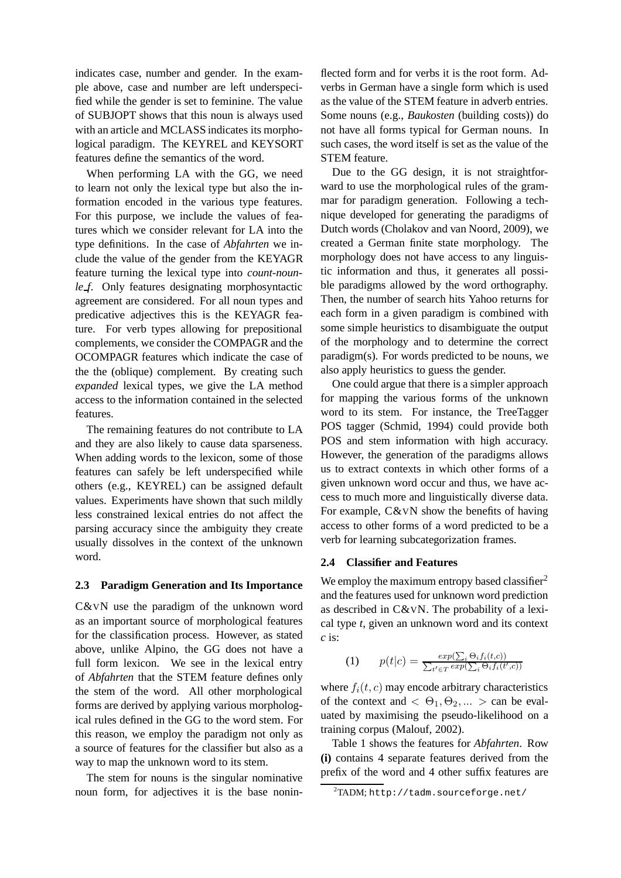indicates case, number and gender. In the example above, case and number are left underspecified while the gender is set to feminine. The value of SUBJOPT shows that this noun is always used with an article and MCLASS indicates its morphological paradigm. The KEYREL and KEYSORT features define the semantics of the word.

When performing LA with the GG, we need to learn not only the lexical type but also the information encoded in the various type features. For this purpose, we include the values of features which we consider relevant for LA into the type definitions. In the case of *Abfahrten* we include the value of the gender from the KEYAGR feature turning the lexical type into *count-nounle f*. Only features designating morphosyntactic agreement are considered. For all noun types and predicative adjectives this is the KEYAGR feature. For verb types allowing for prepositional complements, we consider the COMPAGR and the OCOMPAGR features which indicate the case of the the (oblique) complement. By creating such *expanded* lexical types, we give the LA method access to the information contained in the selected features.

The remaining features do not contribute to LA and they are also likely to cause data sparseness. When adding words to the lexicon, some of those features can safely be left underspecified while others (e.g., KEYREL) can be assigned default values. Experiments have shown that such mildly less constrained lexical entries do not affect the parsing accuracy since the ambiguity they create usually dissolves in the context of the unknown word.

## **2.3 Paradigm Generation and Its Importance**

C&VN use the paradigm of the unknown word as an important source of morphological features for the classification process. However, as stated above, unlike Alpino, the GG does not have a full form lexicon. We see in the lexical entry of *Abfahrten* that the STEM feature defines only the stem of the word. All other morphological forms are derived by applying various morphological rules defined in the GG to the word stem. For this reason, we employ the paradigm not only as a source of features for the classifier but also as a way to map the unknown word to its stem.

The stem for nouns is the singular nominative noun form, for adjectives it is the base noninflected form and for verbs it is the root form. Adverbs in German have a single form which is used as the value of the STEM feature in adverb entries. Some nouns (e.g., *Baukosten* (building costs)) do not have all forms typical for German nouns. In such cases, the word itself is set as the value of the STEM feature.

Due to the GG design, it is not straightforward to use the morphological rules of the grammar for paradigm generation. Following a technique developed for generating the paradigms of Dutch words (Cholakov and van Noord, 2009), we created a German finite state morphology. The morphology does not have access to any linguistic information and thus, it generates all possible paradigms allowed by the word orthography. Then, the number of search hits Yahoo returns for each form in a given paradigm is combined with some simple heuristics to disambiguate the output of the morphology and to determine the correct paradigm(s). For words predicted to be nouns, we also apply heuristics to guess the gender.

One could argue that there is a simpler approach for mapping the various forms of the unknown word to its stem. For instance, the TreeTagger POS tagger (Schmid, 1994) could provide both POS and stem information with high accuracy. However, the generation of the paradigms allows us to extract contexts in which other forms of a given unknown word occur and thus, we have access to much more and linguistically diverse data. For example, C&VN show the benefits of having access to other forms of a word predicted to be a verb for learning subcategorization frames.

## **2.4 Classifier and Features**

We employ the maximum entropy based classifier<sup>2</sup> and the features used for unknown word prediction as described in C&VN. The probability of a lexical type *t*, given an unknown word and its context *c* is:

(1) 
$$
p(t|c) = \frac{exp(\sum_i \Theta_i f_i(t,c))}{\sum_{t' \in T} exp(\sum_i \Theta_i f_i(t',c))}
$$

where  $f_i(t, c)$  may encode arbitrary characteristics of the context and  $< \Theta_1, \Theta_2, \dots >$  can be evaluated by maximising the pseudo-likelihood on a training corpus (Malouf, 2002).

Table 1 shows the features for *Abfahrten*. Row **(i)** contains 4 separate features derived from the prefix of the word and 4 other suffix features are

 $2$ TADM; http://tadm.sourceforge.net/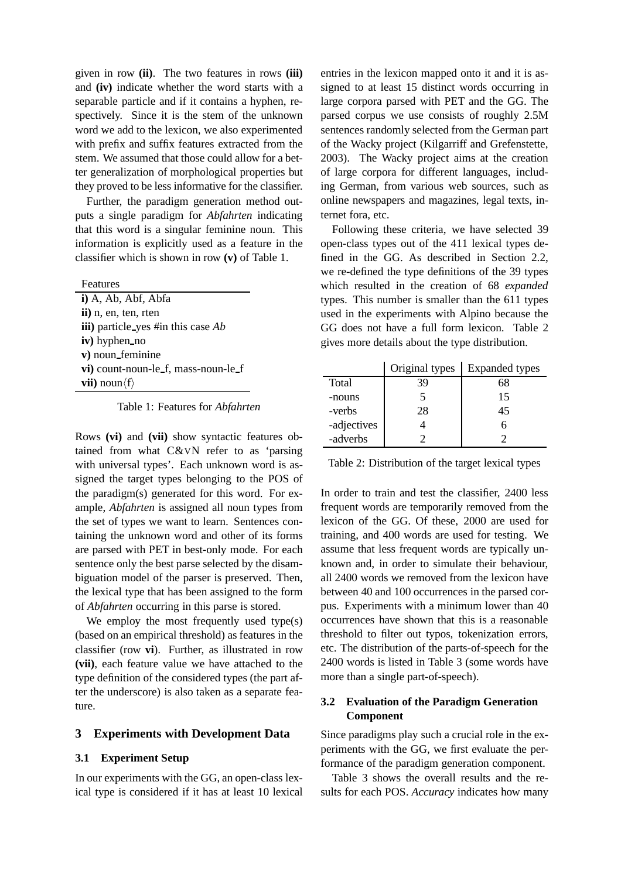given in row **(ii)**. The two features in rows **(iii)** and **(iv)** indicate whether the word starts with a separable particle and if it contains a hyphen, respectively. Since it is the stem of the unknown word we add to the lexicon, we also experimented with prefix and suffix features extracted from the stem. We assumed that those could allow for a better generalization of morphological properties but they proved to be less informative for the classifier.

Further, the paradigm generation method outputs a single paradigm for *Abfahrten* indicating that this word is a singular feminine noun. This information is explicitly used as a feature in the classifier which is shown in row **(v)** of Table 1.

| $i)$ A, Ab, Abf, Abfa                 |
|---------------------------------------|
| ii) n, en, ten, rten                  |
| iii) particle_yes #in this case $Ab$  |
| iv) hyphen no                         |
| v) noun_feminine                      |
| vi) count-noun-le_f, mass-noun-le_f   |
| <b>vii</b> ) noun $\langle f \rangle$ |
|                                       |

#### Table 1: Features for *Abfahrten*

Rows **(vi)** and **(vii)** show syntactic features obtained from what C&VN refer to as 'parsing with universal types'. Each unknown word is assigned the target types belonging to the POS of the paradigm(s) generated for this word. For example, *Abfahrten* is assigned all noun types from the set of types we want to learn. Sentences containing the unknown word and other of its forms are parsed with PET in best-only mode. For each sentence only the best parse selected by the disambiguation model of the parser is preserved. Then, the lexical type that has been assigned to the form of *Abfahrten* occurring in this parse is stored.

We employ the most frequently used type(s) (based on an empirical threshold) as features in the classifier (row **vi**). Further, as illustrated in row **(vii)**, each feature value we have attached to the type definition of the considered types (the part after the underscore) is also taken as a separate feature.

#### **3 Experiments with Development Data**

### **3.1 Experiment Setup**

In our experiments with the GG, an open-class lexical type is considered if it has at least 10 lexical entries in the lexicon mapped onto it and it is assigned to at least 15 distinct words occurring in large corpora parsed with PET and the GG. The parsed corpus we use consists of roughly 2.5M sentences randomly selected from the German part of the Wacky project (Kilgarriff and Grefenstette, 2003). The Wacky project aims at the creation of large corpora for different languages, including German, from various web sources, such as online newspapers and magazines, legal texts, internet fora, etc.

Following these criteria, we have selected 39 open-class types out of the 411 lexical types defined in the GG. As described in Section 2.2, we re-defined the type definitions of the 39 types which resulted in the creation of 68 *expanded* types. This number is smaller than the 611 types used in the experiments with Alpino because the GG does not have a full form lexicon. Table 2 gives more details about the type distribution.

|             | Original types | Expanded types |
|-------------|----------------|----------------|
| Total       | 39             | 68             |
| -nouns      |                | 15             |
| -verbs      | 28             | 45             |
| -adjectives |                |                |
| -adverbs    |                |                |

Table 2: Distribution of the target lexical types

In order to train and test the classifier, 2400 less frequent words are temporarily removed from the lexicon of the GG. Of these, 2000 are used for training, and 400 words are used for testing. We assume that less frequent words are typically unknown and, in order to simulate their behaviour, all 2400 words we removed from the lexicon have between 40 and 100 occurrences in the parsed corpus. Experiments with a minimum lower than 40 occurrences have shown that this is a reasonable threshold to filter out typos, tokenization errors, etc. The distribution of the parts-of-speech for the 2400 words is listed in Table 3 (some words have more than a single part-of-speech).

## **3.2 Evaluation of the Paradigm Generation Component**

Since paradigms play such a crucial role in the experiments with the GG, we first evaluate the performance of the paradigm generation component.

Table 3 shows the overall results and the results for each POS. *Accuracy* indicates how many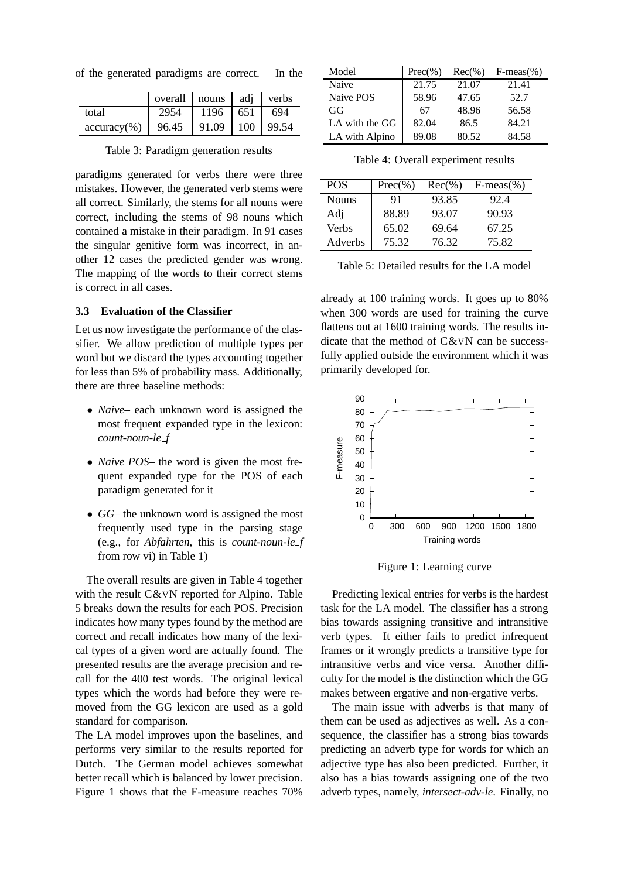of the generated paradigms are correct. In the

|                 | overall   nouns   adj   verbs |                       |     |
|-----------------|-------------------------------|-----------------------|-----|
| total           |                               | 1196 651              | 694 |
| $accuracy(\% )$ | 96.45                         | $91.09$   100   99.54 |     |

Table 3: Paradigm generation results

paradigms generated for verbs there were three mistakes. However, the generated verb stems were all correct. Similarly, the stems for all nouns were correct, including the stems of 98 nouns which contained a mistake in their paradigm. In 91 cases the singular genitive form was incorrect, in another 12 cases the predicted gender was wrong. The mapping of the words to their correct stems is correct in all cases.

## **3.3 Evaluation of the Classifier**

Let us now investigate the performance of the classifier. We allow prediction of multiple types per word but we discard the types accounting together for less than 5% of probability mass. Additionally, there are three baseline methods:

- *Naive* each unknown word is assigned the most frequent expanded type in the lexicon: *count-noun-le f*
- *Naive POS* the word is given the most frequent expanded type for the POS of each paradigm generated for it
- *GG* the unknown word is assigned the most frequently used type in the parsing stage (e.g., for *Abfahrten*, this is *count-noun-le f* from row vi) in Table 1)

The overall results are given in Table 4 together with the result C&VN reported for Alpino. Table 5 breaks down the results for each POS. Precision indicates how many types found by the method are correct and recall indicates how many of the lexical types of a given word are actually found. The presented results are the average precision and recall for the 400 test words. The original lexical types which the words had before they were removed from the GG lexicon are used as a gold standard for comparison.

The LA model improves upon the baselines, and performs very similar to the results reported for Dutch. The German model achieves somewhat better recall which is balanced by lower precision. Figure 1 shows that the F-measure reaches 70%

| Model          | $Prec(\%)$ | $Rec(\% )$ | $F-meas(\% )$ |
|----------------|------------|------------|---------------|
| Naive          | 21.75      | 21.07      | 21.41         |
| Naive POS      | 58.96      | 47.65      | 52.7          |
| GG             | 67         | 48.96      | 56.58         |
| LA with the GG | 82.04      | 86.5       | 84.21         |
| LA with Alpino | 89.08      | 80.52      | 84.58         |

Table 4: Overall experiment results

| <b>POS</b>   | $Prec(\%)$ | $Rec(\% )$ | $F-meas(\% )$ |
|--------------|------------|------------|---------------|
| <b>Nouns</b> | 91         | 93.85      | 92.4          |
| Adj          | 88.89      | 93.07      | 90.93         |
| Verbs        | 65.02      | 69.64      | 67.25         |
| Adverbs      | 75.32      | 76.32      | 75.82         |

Table 5: Detailed results for the LA model

already at 100 training words. It goes up to 80% when 300 words are used for training the curve flattens out at 1600 training words. The results indicate that the method of C&VN can be successfully applied outside the environment which it was primarily developed for.



Figure 1: Learning curve

Predicting lexical entries for verbs is the hardest task for the LA model. The classifier has a strong bias towards assigning transitive and intransitive verb types. It either fails to predict infrequent frames or it wrongly predicts a transitive type for intransitive verbs and vice versa. Another difficulty for the model is the distinction which the GG makes between ergative and non-ergative verbs.

The main issue with adverbs is that many of them can be used as adjectives as well. As a consequence, the classifier has a strong bias towards predicting an adverb type for words for which an adjective type has also been predicted. Further, it also has a bias towards assigning one of the two adverb types, namely, *intersect-adv-le*. Finally, no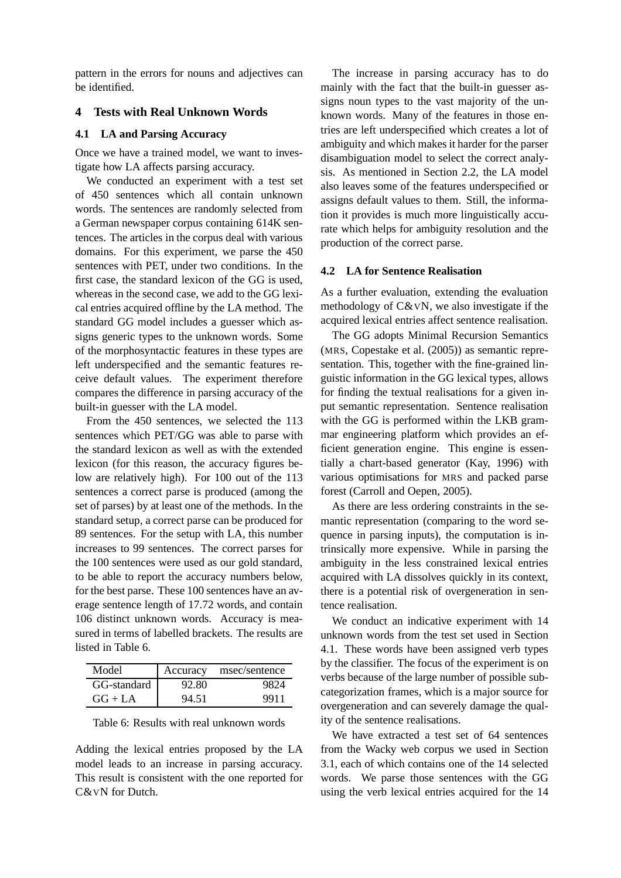pattern in the errors for nouns and adjectives can be identified.

## **4 Tests with Real Unknown Words**

## **4.1 LA and Parsing Accuracy**

Once we have a trained model, we want to investigate how LA affects parsing accuracy.

We conducted an experiment with a test set of 450 sentences which all contain unknown words. The sentences are randomly selected from a German newspaper corpus containing 614K sentences. The articles in the corpus deal with various domains. For this experiment, we parse the 450 sentences with PET, under two conditions. In the first case, the standard lexicon of the GG is used, whereas in the second case, we add to the GG lexical entries acquired offline by the LA method. The standard GG model includes a guesser which assigns generic types to the unknown words. Some of the morphosyntactic features in these types are left underspecified and the semantic features receive default values. The experiment therefore compares the difference in parsing accuracy of the built-in guesser with the LA model.

From the 450 sentences, we selected the 113 sentences which PET/GG was able to parse with the standard lexicon as well as with the extended lexicon (for this reason, the accuracy figures below are relatively high). For 100 out of the 113 sentences a correct parse is produced (among the set of parses) by at least one of the methods. In the standard setup, a correct parse can be produced for 89 sentences. For the setup with LA, this number increases to 99 sentences. The correct parses for the 100 sentences were used as our gold standard, to be able to report the accuracy numbers below, for the best parse. These 100 sentences have an average sentence length of 17.72 words, and contain 106 distinct unknown words. Accuracy is measured in terms of labelled brackets. The results are listed in Table 6.

| Model       | Accuracy | msec/sentence |
|-------------|----------|---------------|
| GG-standard | 92.80    |               |
| $GG + LA$   | 94.51    | 9911          |

| Table 6: Results with real unknown words |  |  |  |  |
|------------------------------------------|--|--|--|--|
|------------------------------------------|--|--|--|--|

Adding the lexical entries proposed by the LA model leads to an increase in parsing accuracy. This result is consistent with the one reported for C&VN for Dutch.

The increase in parsing accuracy has to do mainly with the fact that the built-in guesser assigns noun types to the vast majority of the unknown words. Many of the features in those entries are left underspecified which creates a lot of ambiguity and which makes it harder for the parser disambiguation model to select the correct analysis. As mentioned in Section 2.2, the LA model also leaves some of the features underspecified or assigns default values to them. Still, the information it provides is much more linguistically accurate which helps for ambiguity resolution and the production of the correct parse.

## **4.2 LA for Sentence Realisation**

As a further evaluation, extending the evaluation methodology of C&VN, we also investigate if the acquired lexical entries affect sentence realisation.

The GG adopts Minimal Recursion Semantics (MRS, Copestake et al. (2005)) as semantic representation. This, together with the fine-grained linguistic information in the GG lexical types, allows for finding the textual realisations for a given input semantic representation. Sentence realisation with the GG is performed within the LKB grammar engineering platform which provides an efficient generation engine. This engine is essentially a chart-based generator (Kay, 1996) with various optimisations for MRS and packed parse forest (Carroll and Oepen, 2005).

As there are less ordering constraints in the semantic representation (comparing to the word sequence in parsing inputs), the computation is intrinsically more expensive. While in parsing the ambiguity in the less constrained lexical entries acquired with LA dissolves quickly in its context, there is a potential risk of overgeneration in sentence realisation.

We conduct an indicative experiment with 14 unknown words from the test set used in Section 4.1. These words have been assigned verb types by the classifier. The focus of the experiment is on verbs because of the large number of possible subcategorization frames, which is a major source for overgeneration and can severely damage the quality of the sentence realisations.

We have extracted a test set of 64 sentences from the Wacky web corpus we used in Section 3.1, each of which contains one of the 14 selected words. We parse those sentences with the GG using the verb lexical entries acquired for the 14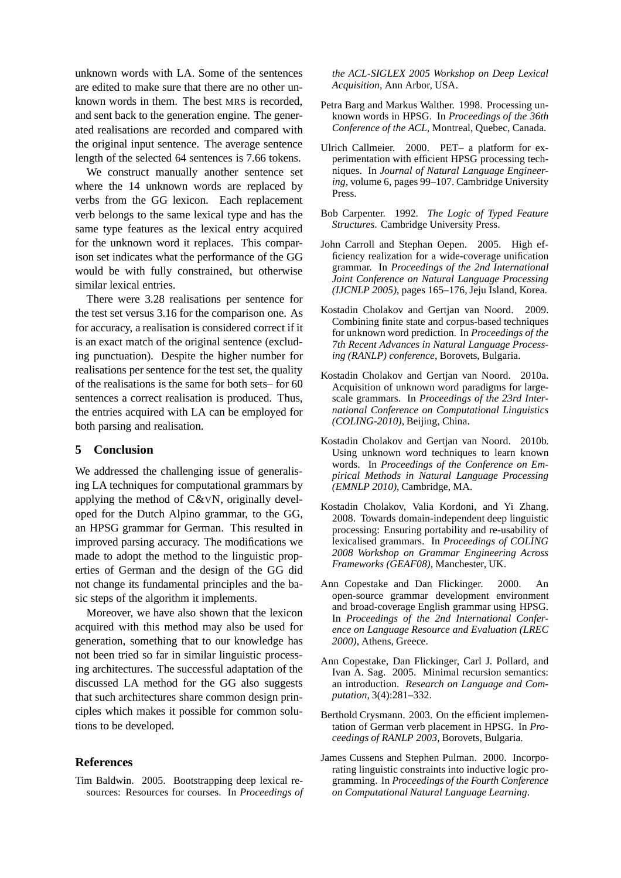unknown words with LA. Some of the sentences are edited to make sure that there are no other unknown words in them. The best MRS is recorded, and sent back to the generation engine. The generated realisations are recorded and compared with the original input sentence. The average sentence length of the selected 64 sentences is 7.66 tokens.

We construct manually another sentence set where the 14 unknown words are replaced by verbs from the GG lexicon. Each replacement verb belongs to the same lexical type and has the same type features as the lexical entry acquired for the unknown word it replaces. This comparison set indicates what the performance of the GG would be with fully constrained, but otherwise similar lexical entries.

There were 3.28 realisations per sentence for the test set versus 3.16 for the comparison one. As for accuracy, a realisation is considered correct if it is an exact match of the original sentence (excluding punctuation). Despite the higher number for realisations per sentence for the test set, the quality of the realisations is the same for both sets– for 60 sentences a correct realisation is produced. Thus, the entries acquired with LA can be employed for both parsing and realisation.

#### **5 Conclusion**

We addressed the challenging issue of generalising LA techniques for computational grammars by applying the method of C&VN, originally developed for the Dutch Alpino grammar, to the GG, an HPSG grammar for German. This resulted in improved parsing accuracy. The modifications we made to adopt the method to the linguistic properties of German and the design of the GG did not change its fundamental principles and the basic steps of the algorithm it implements.

Moreover, we have also shown that the lexicon acquired with this method may also be used for generation, something that to our knowledge has not been tried so far in similar linguistic processing architectures. The successful adaptation of the discussed LA method for the GG also suggests that such architectures share common design principles which makes it possible for common solutions to be developed.

## **References**

Tim Baldwin. 2005. Bootstrapping deep lexical resources: Resources for courses. In *Proceedings of* *the ACL-SIGLEX 2005 Workshop on Deep Lexical Acquisition*, Ann Arbor, USA.

- Petra Barg and Markus Walther. 1998. Processing unknown words in HPSG. In *Proceedings of the 36th Conference of the ACL*, Montreal, Quebec, Canada.
- Ulrich Callmeier. 2000. PET– a platform for experimentation with efficient HPSG processing techniques. In *Journal of Natural Language Engineering*, volume 6, pages 99–107. Cambridge University Press.
- Bob Carpenter. 1992. *The Logic of Typed Feature Structures*. Cambridge University Press.
- John Carroll and Stephan Oepen. 2005. High efficiency realization for a wide-coverage unification grammar. In *Proceedings of the 2nd International Joint Conference on Natural Language Processing (IJCNLP 2005)*, pages 165–176, Jeju Island, Korea.
- Kostadin Cholakov and Gertjan van Noord. 2009. Combining finite state and corpus-based techniques for unknown word prediction. In *Proceedings of the 7th Recent Advances in Natural Language Processing (RANLP) conference*, Borovets, Bulgaria.
- Kostadin Cholakov and Gertjan van Noord. 2010a. Acquisition of unknown word paradigms for largescale grammars. In *Proceedings of the 23rd International Conference on Computational Linguistics (COLING-2010)*, Beijing, China.
- Kostadin Cholakov and Gertjan van Noord. 2010b. Using unknown word techniques to learn known words. In *Proceedings of the Conference on Empirical Methods in Natural Language Processing (EMNLP 2010)*, Cambridge, MA.
- Kostadin Cholakov, Valia Kordoni, and Yi Zhang. 2008. Towards domain-independent deep linguistic processing: Ensuring portability and re-usability of lexicalised grammars. In *Proceedings of COLING 2008 Workshop on Grammar Engineering Across Frameworks (GEAF08)*, Manchester, UK.
- Ann Copestake and Dan Flickinger. 2000. An open-source grammar development environment and broad-coverage English grammar using HPSG. In *Proceedings of the 2nd International Conference on Language Resource and Evaluation (LREC 2000)*, Athens, Greece.
- Ann Copestake, Dan Flickinger, Carl J. Pollard, and Ivan A. Sag. 2005. Minimal recursion semantics: an introduction. *Research on Language and Computation*, 3(4):281–332.
- Berthold Crysmann. 2003. On the efficient implementation of German verb placement in HPSG. In *Proceedings of RANLP 2003*, Borovets, Bulgaria.
- James Cussens and Stephen Pulman. 2000. Incorporating linguistic constraints into inductive logic programming. In *Proceedings of the Fourth Conference on Computational Natural Language Learning*.